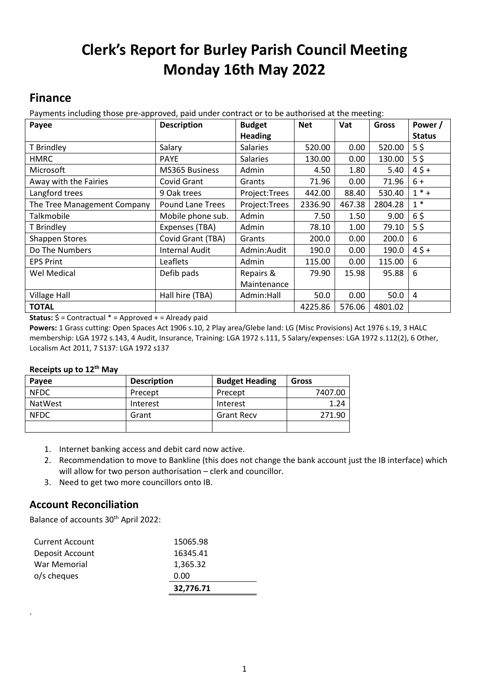# **Clerk's Report for Burley Parish Council Meeting Monday 16th May 2022**

# **Finance**

Payments including those pre-approved, paid under contract or to be authorised at the meeting:

| Payee                       | <b>Description</b>      | <b>Budget</b>   | <b>Net</b> | Vat    | <b>Gross</b> | Power /        |
|-----------------------------|-------------------------|-----------------|------------|--------|--------------|----------------|
|                             |                         | <b>Heading</b>  |            |        |              | <b>Status</b>  |
| T Brindley                  | Salary                  | <b>Salaries</b> | 520.00     | 0.00   | 520.00       | $5\frac{2}{3}$ |
| <b>HMRC</b>                 | <b>PAYE</b>             | <b>Salaries</b> | 130.00     | 0.00   | 130.00       | $5\frac{2}{3}$ |
| Microsoft                   | <b>MS365 Business</b>   | Admin           | 4.50       | 1.80   | 5.40         | $45+$          |
| Away with the Fairies       | Covid Grant             | Grants          | 71.96      | 0.00   | 71.96        | $6+$           |
| Langford trees              | 9 Oak trees             | Project:Trees   | 442.00     | 88.40  | 530.40       | $1 * +$        |
| The Tree Management Company | <b>Pound Lane Trees</b> | Project:Trees   | 2336.90    | 467.38 | 2804.28      | $1*$           |
| Talkmobile                  | Mobile phone sub.       | Admin           | 7.50       | 1.50   | 9.00         | 65             |
| T Brindley                  | Expenses (TBA)          | Admin           | 78.10      | 1.00   | 79.10        | $5\frac{2}{3}$ |
| <b>Shappen Stores</b>       | Covid Grant (TBA)       | Grants          | 200.0      | 0.00   | 200.0        | 6              |
| Do The Numbers              | <b>Internal Audit</b>   | Admin:Audit     | 190.0      | 0.00   | 190.0        | $45+$          |
| <b>EPS Print</b>            | Leaflets                | Admin           | 115.00     | 0.00   | 115.00       | 6              |
| Wel Medical                 | Defib pads              | Repairs &       | 79.90      | 15.98  | 95.88        | 6              |
|                             |                         | Maintenance     |            |        |              |                |
| <b>Village Hall</b>         | Hall hire (TBA)         | Admin:Hall      | 50.0       | 0.00   | 50.0         | 4              |
| <b>TOTAL</b>                |                         |                 | 4225.86    | 576.06 | 4801.02      |                |

**Status:** \$ = Contractual \* = Approved + = Already paid

**Powers:** 1 Grass cutting: Open Spaces Act 1906 s.10, 2 Play area/Glebe land: LG (Misc Provisions) Act 1976 s.19, 3 HALC membership: LGA 1972 s.143, 4 Audit, Insurance, Training: LGA 1972 s.111, 5 Salary/expenses: LGA 1972 s.112(2), 6 Other, Localism Act 2011, 7 S137: LGA 1972 s137

#### **Receipts up to 12 th May**

| Payee          | <b>Description</b> | <b>Budget Heading</b> | Gross   |
|----------------|--------------------|-----------------------|---------|
| <b>NFDC</b>    | Precept            | Precept               | 7407.00 |
| <b>NatWest</b> | Interest           | Interest              | 1.24    |
| <b>NFDC</b>    | Grant              | <b>Grant Recv</b>     | 271.90  |
|                |                    |                       |         |

- 1. Internet banking access and debit card now active.
- 2. Recommendation to move to Bankline (this does not change the bank account just the IB interface) which will allow for two person authorisation – clerk and councillor.
- 3. Need to get two more councillors onto IB.

## **Account Reconciliation**

.

Balance of accounts 30<sup>th</sup> April 2022:

|                        | 32,776.71 |  |
|------------------------|-----------|--|
| o/s cheques            | 0.00      |  |
| War Memorial           | 1,365.32  |  |
| Deposit Account        | 16345.41  |  |
| <b>Current Account</b> | 15065.98  |  |
|                        |           |  |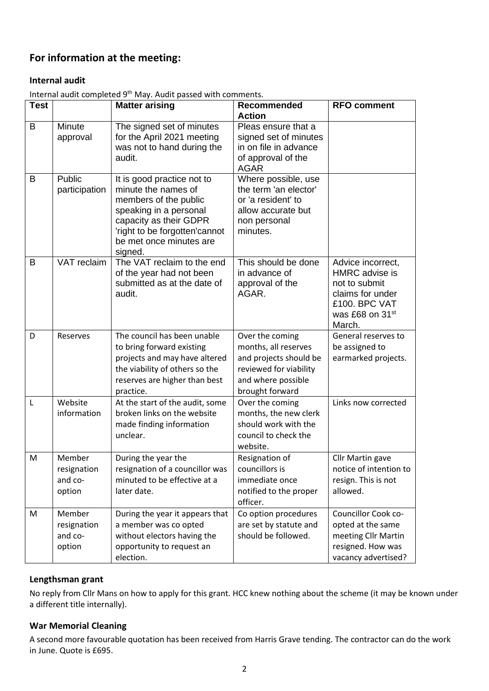## **For information at the meeting:**

#### **Internal audit**

|              |                                            | $m$ chimi dudit completed behavior pubblic pubblic comments.                                                                                                                                          |                                                                                                                                      |                                                                                                                                    |
|--------------|--------------------------------------------|-------------------------------------------------------------------------------------------------------------------------------------------------------------------------------------------------------|--------------------------------------------------------------------------------------------------------------------------------------|------------------------------------------------------------------------------------------------------------------------------------|
| <b>Test</b>  |                                            | <b>Matter arising</b>                                                                                                                                                                                 | Recommended<br><b>Action</b>                                                                                                         | <b>RFO comment</b>                                                                                                                 |
| B            | Minute<br>approval                         | The signed set of minutes<br>for the April 2021 meeting<br>was not to hand during the<br>audit.                                                                                                       | Pleas ensure that a<br>signed set of minutes<br>in on file in advance<br>of approval of the<br><b>AGAR</b>                           |                                                                                                                                    |
| B            | Public<br>participation                    | It is good practice not to<br>minute the names of<br>members of the public<br>speaking in a personal<br>capacity as their GDPR<br>'right to be forgotten'cannot<br>be met once minutes are<br>signed. | Where possible, use<br>the term 'an elector'<br>or 'a resident' to<br>allow accurate but<br>non personal<br>minutes.                 |                                                                                                                                    |
| B            | VAT reclaim                                | The VAT reclaim to the end<br>of the year had not been<br>submitted as at the date of<br>audit.                                                                                                       | This should be done<br>in advance of<br>approval of the<br>AGAR.                                                                     | Advice incorrect,<br>HMRC advise is<br>not to submit<br>claims for under<br>£100. BPC VAT<br>was £68 on 31 <sup>st</sup><br>March. |
| D            | Reserves                                   | The council has been unable<br>to bring forward existing<br>projects and may have altered<br>the viability of others so the<br>reserves are higher than best<br>practice.                             | Over the coming<br>months, all reserves<br>and projects should be<br>reviewed for viability<br>and where possible<br>brought forward | General reserves to<br>be assigned to<br>earmarked projects.                                                                       |
| $\mathsf{L}$ | Website<br>information                     | At the start of the audit, some<br>broken links on the website<br>made finding information<br>unclear.                                                                                                | Over the coming<br>months, the new clerk<br>should work with the<br>council to check the<br>website.                                 | Links now corrected                                                                                                                |
| M            | Member<br>resignation<br>and co-<br>option | During the year the<br>resignation of a councillor was<br>minuted to be effective at a<br>later date.                                                                                                 | Resignation of<br>councillors is<br>immediate once<br>notified to the proper<br>officer.                                             | Cllr Martin gave<br>notice of intention to<br>resign. This is not<br>allowed.                                                      |
| M            | Member<br>resignation<br>and co-<br>option | During the year it appears that<br>a member was co opted<br>without electors having the<br>opportunity to request an<br>election.                                                                     | Co option procedures<br>are set by statute and<br>should be followed.                                                                | Councillor Cook co-<br>opted at the same<br>meeting Cllr Martin<br>resigned. How was<br>vacancy advertised?                        |

Internal audit completed 9th May. Audit passed with comments.

### **Lengthsman grant**

No reply from Cllr Mans on how to apply for this grant. HCC knew nothing about the scheme (it may be known under a different title internally).

#### **War Memorial Cleaning**

A second more favourable quotation has been received from Harris Grave tending. The contractor can do the work in June. Quote is £695.